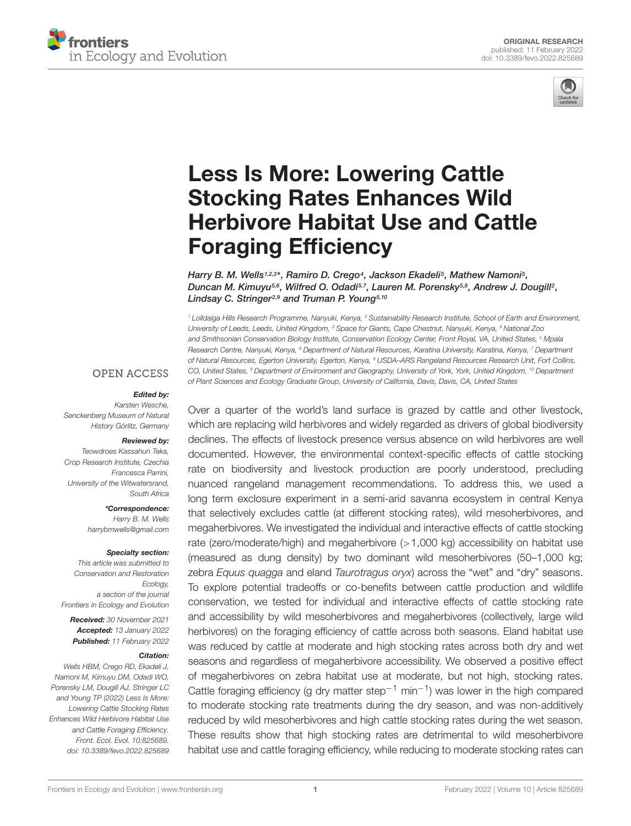



# Less Is More: Lowering Cattle Stocking Rates Enhances Wild [Herbivore Habitat Use and Cattle](https://www.frontiersin.org/articles/10.3389/fevo.2022.825689/full) Foraging Efficiency

Harry B. M. Wells1,2,3\*, Ramiro D. Crego4, Jackson Ekadeli5, Mathew Namoni5, Duncan M. Kimuyu56, Wilfred O. Odadi57, Lauren M. Porensky58, Andrew J. Dougill?, Lindsay C. Stringer<sup>2,9</sup> and Truman P. Young<sup>5,10</sup>

<sup>1</sup> Lolldaiga Hills Research Programme, Nanyuki, Kenya, <sup>2</sup> Sustainability Research Institute, School of Earth and Environment, University of Leeds, Leeds, United Kingdom, <sup>3</sup> Space for Giants, Cape Chestnut, Nanyuki, Kenya, <sup>4</sup> National Zoo and Smithsonian Conservation Biology Institute, Conservation Ecology Center, Front Royal, VA, United States, <sup>5</sup> Mpala Research Centre, Nanyuki, Kenya, <sup>6</sup> Department of Natural Resources, Karatina University, Karatina, Kenya, <sup>7</sup> Department of Natural Resources, Egerton University, Egerton, Kenya, <sup>8</sup> USDA-ARS Rangeland Resources Research Unit, Fort Collins, CO, United States, <sup>9</sup> Department of Environment and Geography, University of York, York, United Kingdom, <sup>10</sup> Department of Plant Sciences and Ecology Graduate Group, University of California, Davis, Davis, CA, United States

#### **OPEN ACCESS**

#### Edited by:

Karsten Wesche, Senckenberg Museum of Natural History Görlitz, Germany

#### Reviewed by:

Teowdroes Kassahun Teka, Crop Research Institute, Czechia Francesca Parrini, University of the Witwatersrand, South Africa

> \*Correspondence: Harry B. M. Wells harrybmwells@gmail.com

#### Specialty section:

This article was submitted to Conservation and Restoration Ecology, a section of the journal Frontiers in Ecology and Evolution

Received: 30 November 2021 Accepted: 13 January 2022 Published: 11 February 2022

#### Citation:

Wells HBM, Crego RD, Ekadeli J, Namoni M, Kimuyu DM, Odadi WO, Porensky LM, Dougill AJ, Stringer LC and Young TP (2022) Less Is More: Lowering Cattle Stocking Rates Enhances Wild Herbivore Habitat Use and Cattle Foraging Efficiency. Front. Ecol. Evol. 10:825689. doi: [10.3389/fevo.2022.825689](https://doi.org/10.3389/fevo.2022.825689)

Over a quarter of the world's land surface is grazed by cattle and other livestock, which are replacing wild herbivores and widely regarded as drivers of global biodiversity declines. The effects of livestock presence versus absence on wild herbivores are well documented. However, the environmental context-specific effects of cattle stocking rate on biodiversity and livestock production are poorly understood, precluding nuanced rangeland management recommendations. To address this, we used a long term exclosure experiment in a semi-arid savanna ecosystem in central Kenya that selectively excludes cattle (at different stocking rates), wild mesoherbivores, and megaherbivores. We investigated the individual and interactive effects of cattle stocking rate (zero/moderate/high) and megaherbivore (>1,000 kg) accessibility on habitat use (measured as dung density) by two dominant wild mesoherbivores (50–1,000 kg; zebra Equus quagga and eland Taurotragus oryx) across the "wet" and "dry" seasons. To explore potential tradeoffs or co-benefits between cattle production and wildlife conservation, we tested for individual and interactive effects of cattle stocking rate and accessibility by wild mesoherbivores and megaherbivores (collectively, large wild herbivores) on the foraging efficiency of cattle across both seasons. Eland habitat use was reduced by cattle at moderate and high stocking rates across both dry and wet seasons and regardless of megaherbivore accessibility. We observed a positive effect of megaherbivores on zebra habitat use at moderate, but not high, stocking rates. Cattle foraging efficiency (g dry matter step<sup>-1</sup> min<sup>-1</sup>) was lower in the high compared to moderate stocking rate treatments during the dry season, and was non-additively reduced by wild mesoherbivores and high cattle stocking rates during the wet season. These results show that high stocking rates are detrimental to wild mesoherbivore habitat use and cattle foraging efficiency, while reducing to moderate stocking rates can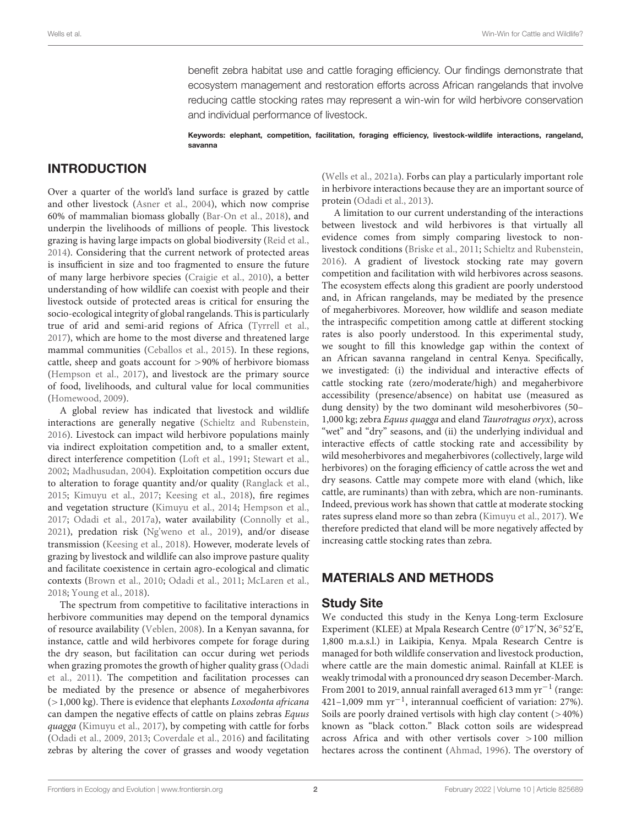benefit zebra habitat use and cattle foraging efficiency. Our findings demonstrate that ecosystem management and restoration efforts across African rangelands that involve reducing cattle stocking rates may represent a win-win for wild herbivore conservation and individual performance of livestock.

Keywords: elephant, competition, facilitation, foraging efficiency, livestock-wildlife interactions, rangeland, savanna

# INTRODUCTION

Over a quarter of the world's land surface is grazed by cattle and other livestock [\(Asner et al.,](#page-7-0) [2004\)](#page-7-0), which now comprise 60% of mammalian biomass globally [\(Bar-On et al.,](#page-7-1) [2018\)](#page-7-1), and underpin the livelihoods of millions of people. This livestock grazing is having large impacts on global biodiversity [\(Reid et al.,](#page-8-0) [2014\)](#page-8-0). Considering that the current network of protected areas is insufficient in size and too fragmented to ensure the future of many large herbivore species [\(Craigie et al.,](#page-7-2) [2010\)](#page-7-2), a better understanding of how wildlife can coexist with people and their livestock outside of protected areas is critical for ensuring the socio-ecological integrity of global rangelands. This is particularly true of arid and semi-arid regions of Africa [\(Tyrrell et al.,](#page-8-1) [2017\)](#page-8-1), which are home to the most diverse and threatened large mammal communities [\(Ceballos et al.,](#page-7-3) [2015\)](#page-7-3). In these regions, cattle, sheep and goats account for >90% of herbivore biomass [\(Hempson et al.,](#page-7-4) [2017\)](#page-7-4), and livestock are the primary source of food, livelihoods, and cultural value for local communities [\(Homewood,](#page-7-5) [2009\)](#page-7-5).

A global review has indicated that livestock and wildlife interactions are generally negative [\(Schieltz and Rubenstein,](#page-8-2) [2016\)](#page-8-2). Livestock can impact wild herbivore populations mainly via indirect exploitation competition and, to a smaller extent, direct interference competition [\(Loft et al.,](#page-8-3) [1991;](#page-8-3) [Stewart et al.,](#page-8-4) [2002;](#page-8-4) [Madhusudan,](#page-8-5) [2004\)](#page-8-5). Exploitation competition occurs due to alteration to forage quantity and/or quality [\(Ranglack et al.,](#page-8-6) [2015;](#page-8-6) [Kimuyu et al.,](#page-8-7) [2017;](#page-8-7) [Keesing et al.,](#page-7-6) [2018\)](#page-7-6), fire regimes and vegetation structure [\(Kimuyu et al.,](#page-8-8) [2014;](#page-8-8) [Hempson et al.,](#page-7-4) [2017;](#page-7-4) [Odadi et al.,](#page-8-9) [2017a\)](#page-8-9), water availability [\(Connolly et al.,](#page-7-7) [2021\)](#page-7-7), predation risk [\(Ng'weno et al.,](#page-8-10) [2019\)](#page-8-10), and/or disease transmission [\(Keesing et al.,](#page-7-6) [2018\)](#page-7-6). However, moderate levels of grazing by livestock and wildlife can also improve pasture quality and facilitate coexistence in certain agro-ecological and climatic contexts [\(Brown et al.,](#page-7-8) [2010;](#page-7-8) [Odadi et al.,](#page-8-11) [2011;](#page-8-11) [McLaren et al.,](#page-8-12) [2018;](#page-8-12) [Young et al.,](#page-9-0) [2018\)](#page-9-0).

The spectrum from competitive to facilitative interactions in herbivore communities may depend on the temporal dynamics of resource availability [\(Veblen,](#page-8-13) [2008\)](#page-8-13). In a Kenyan savanna, for instance, cattle and wild herbivores compete for forage during the dry season, but facilitation can occur during wet periods when grazing promotes the growth of higher quality grass [\(Odadi](#page-8-11) [et al.,](#page-8-11) [2011\)](#page-8-11). The competition and facilitation processes can be mediated by the presence or absence of megaherbivores (>1,000 kg). There is evidence that elephants Loxodonta africana can dampen the negative effects of cattle on plains zebras Equus quagga [\(Kimuyu et al.,](#page-8-7) [2017\)](#page-8-7), by competing with cattle for forbs [\(Odadi et al.,](#page-8-14) [2009,](#page-8-14) [2013;](#page-8-15) [Coverdale et al.,](#page-7-9) [2016\)](#page-7-9) and facilitating zebras by altering the cover of grasses and woody vegetation

[\(Wells et al.,](#page-9-1) [2021a\)](#page-9-1). Forbs can play a particularly important role in herbivore interactions because they are an important source of protein [\(Odadi et al.,](#page-8-15) [2013\)](#page-8-15).

A limitation to our current understanding of the interactions between livestock and wild herbivores is that virtually all evidence comes from simply comparing livestock to nonlivestock conditions [\(Briske et al.,](#page-7-10) [2011;](#page-7-10) [Schieltz and Rubenstein,](#page-8-2) [2016\)](#page-8-2). A gradient of livestock stocking rate may govern competition and facilitation with wild herbivores across seasons. The ecosystem effects along this gradient are poorly understood and, in African rangelands, may be mediated by the presence of megaherbivores. Moreover, how wildlife and season mediate the intraspecific competition among cattle at different stocking rates is also poorly understood. In this experimental study, we sought to fill this knowledge gap within the context of an African savanna rangeland in central Kenya. Specifically, we investigated: (i) the individual and interactive effects of cattle stocking rate (zero/moderate/high) and megaherbivore accessibility (presence/absence) on habitat use (measured as dung density) by the two dominant wild mesoherbivores (50– 1,000 kg; zebra Equus quagga and eland Taurotragus oryx), across "wet" and "dry" seasons, and (ii) the underlying individual and interactive effects of cattle stocking rate and accessibility by wild mesoherbivores and megaherbivores (collectively, large wild herbivores) on the foraging efficiency of cattle across the wet and dry seasons. Cattle may compete more with eland (which, like cattle, are ruminants) than with zebra, which are non-ruminants. Indeed, previous work has shown that cattle at moderate stocking rates supress eland more so than zebra [\(Kimuyu et al.,](#page-8-7) [2017\)](#page-8-7). We therefore predicted that eland will be more negatively affected by increasing cattle stocking rates than zebra.

# MATERIALS AND METHODS

# Study Site

We conducted this study in the Kenya Long-term Exclosure Experiment (KLEE) at Mpala Research Centre (0°17'N, 36°52'E, 1,800 m.a.s.l.) in Laikipia, Kenya. Mpala Research Centre is managed for both wildlife conservation and livestock production, where cattle are the main domestic animal. Rainfall at KLEE is weakly trimodal with a pronounced dry season December-March. From 2001 to 2019, annual rainfall averaged 613 mm yr−<sup>1</sup> (range: 421–1,009 mm yr−<sup>1</sup> , interannual coefficient of variation: 27%). Soils are poorly drained vertisols with high clay content (>40%) known as "black cotton." Black cotton soils are widespread across Africa and with other vertisols cover >100 million hectares across the continent [\(Ahmad,](#page-7-11) [1996\)](#page-7-11). The overstory of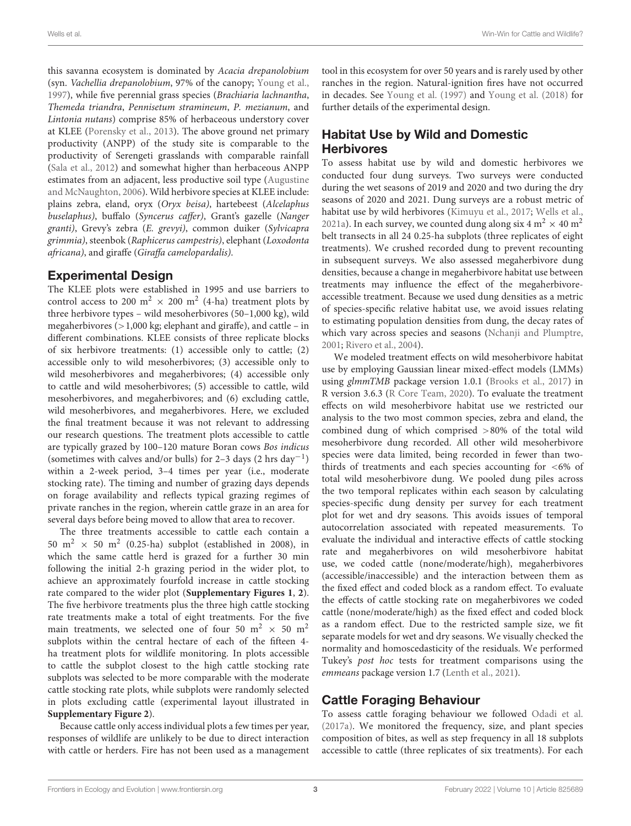this savanna ecosystem is dominated by Acacia drepanolobium (syn. Vachellia drepanolobium, 97% of the canopy; [Young et al.,](#page-9-2) [1997\)](#page-9-2), while five perennial grass species (Brachiaria lachnantha, Themeda triandra, Pennisetum stramineum, P. mezianum, and Lintonia nutans) comprise 85% of herbaceous understory cover at KLEE [\(Porensky et al.,](#page-8-16) [2013\)](#page-8-16). The above ground net primary productivity (ANPP) of the study site is comparable to the productivity of Serengeti grasslands with comparable rainfall [\(Sala et al.,](#page-8-17) [2012\)](#page-8-17) and somewhat higher than herbaceous ANPP estimates from an adjacent, less productive soil type [\(Augustine](#page-7-12) [and McNaughton,](#page-7-12) [2006\)](#page-7-12). Wild herbivore species at KLEE include: plains zebra, eland, oryx (Oryx beisa), hartebeest (Alcelaphus buselaphus), buffalo (Syncerus caffer), Grant's gazelle (Nanger granti), Grevy's zebra (E. grevyi), common duiker (Sylvicapra grimmia), steenbok (Raphicerus campestris), elephant (Loxodonta africana), and giraffe (Giraffa camelopardalis).

#### Experimental Design

The KLEE plots were established in 1995 and use barriers to control access to 200 m<sup>2</sup>  $\times$  200 m<sup>2</sup> (4-ha) treatment plots by three herbivore types – wild mesoherbivores (50–1,000 kg), wild megaherbivores (>1,000 kg; elephant and giraffe), and cattle – in different combinations. KLEE consists of three replicate blocks of six herbivore treatments: (1) accessible only to cattle; (2) accessible only to wild mesoherbivores; (3) accessible only to wild mesoherbivores and megaherbivores; (4) accessible only to cattle and wild mesoherbivores; (5) accessible to cattle, wild mesoherbivores, and megaherbivores; and (6) excluding cattle, wild mesoherbivores, and megaherbivores. Here, we excluded the final treatment because it was not relevant to addressing our research questions. The treatment plots accessible to cattle are typically grazed by 100–120 mature Boran cows Bos indicus (sometimes with calves and/or bulls) for 2–3 days (2 hrs day−<sup>1</sup> ) within a 2-week period, 3–4 times per year (i.e., moderate stocking rate). The timing and number of grazing days depends on forage availability and reflects typical grazing regimes of private ranches in the region, wherein cattle graze in an area for several days before being moved to allow that area to recover.

The three treatments accessible to cattle each contain a 50 m<sup>2</sup>  $\times$  50 m<sup>2</sup> (0.25-ha) subplot (established in 2008), in which the same cattle herd is grazed for a further 30 min following the initial 2-h grazing period in the wider plot, to achieve an approximately fourfold increase in cattle stocking rate compared to the wider plot (**[Supplementary Figures 1](#page-7-13)**, **[2](#page-4-0)**). The five herbivore treatments plus the three high cattle stocking rate treatments make a total of eight treatments. For the five main treatments, we selected one of four 50 m<sup>2</sup>  $\times$  50 m<sup>2</sup> subplots within the central hectare of each of the fifteen 4 ha treatment plots for wildlife monitoring. In plots accessible to cattle the subplot closest to the high cattle stocking rate subplots was selected to be more comparable with the moderate cattle stocking rate plots, while subplots were randomly selected in plots excluding cattle (experimental layout illustrated in **[Supplementary Figure 2](#page-7-13)**).

Because cattle only access individual plots a few times per year, responses of wildlife are unlikely to be due to direct interaction with cattle or herders. Fire has not been used as a management tool in this ecosystem for over 50 years and is rarely used by other ranches in the region. Natural-ignition fires have not occurred in decades. See [Young et al.](#page-9-2) [\(1997\)](#page-9-2) and [Young et al.](#page-9-0) [\(2018\)](#page-9-0) for further details of the experimental design.

### Habitat Use by Wild and Domestic **Herbivores**

To assess habitat use by wild and domestic herbivores we conducted four dung surveys. Two surveys were conducted during the wet seasons of 2019 and 2020 and two during the dry seasons of 2020 and 2021. Dung surveys are a robust metric of habitat use by wild herbivores [\(Kimuyu et al.,](#page-8-7) [2017;](#page-8-7) [Wells et al.,](#page-9-1) [2021a\)](#page-9-1). In each survey, we counted dung along six 4 m<sup>2</sup>  $\times$  40 m<sup>2</sup> belt transects in all 24 0.25-ha subplots (three replicates of eight treatments). We crushed recorded dung to prevent recounting in subsequent surveys. We also assessed megaherbivore dung densities, because a change in megaherbivore habitat use between treatments may influence the effect of the megaherbivoreaccessible treatment. Because we used dung densities as a metric of species-specific relative habitat use, we avoid issues relating to estimating population densities from dung, the decay rates of which vary across species and seasons [\(Nchanji and Plumptre,](#page-8-18) [2001;](#page-8-18) [Rivero et al.,](#page-8-19) [2004\)](#page-8-19).

We modeled treatment effects on wild mesoherbivore habitat use by employing Gaussian linear mixed-effect models (LMMs) using glmmTMB package version 1.0.1 [\(Brooks et al.,](#page-7-14) [2017\)](#page-7-14) in R version 3.6.3 [\(R Core Team,](#page-8-20) [2020\)](#page-8-20). To evaluate the treatment effects on wild mesoherbivore habitat use we restricted our analysis to the two most common species, zebra and eland, the combined dung of which comprised >80% of the total wild mesoherbivore dung recorded. All other wild mesoherbivore species were data limited, being recorded in fewer than twothirds of treatments and each species accounting for <6% of total wild mesoherbivore dung. We pooled dung piles across the two temporal replicates within each season by calculating species-specific dung density per survey for each treatment plot for wet and dry seasons. This avoids issues of temporal autocorrelation associated with repeated measurements. To evaluate the individual and interactive effects of cattle stocking rate and megaherbivores on wild mesoherbivore habitat use, we coded cattle (none/moderate/high), megaherbivores (accessible/inaccessible) and the interaction between them as the fixed effect and coded block as a random effect. To evaluate the effects of cattle stocking rate on megaherbivores we coded cattle (none/moderate/high) as the fixed effect and coded block as a random effect. Due to the restricted sample size, we fit separate models for wet and dry seasons. We visually checked the normality and homoscedasticity of the residuals. We performed Tukey's post hoc tests for treatment comparisons using the emmeans package version 1.7 [\(Lenth et al.,](#page-8-21) [2021\)](#page-8-21).

#### Cattle Foraging Behaviour

To assess cattle foraging behaviour we followed [Odadi et al.](#page-8-9) [\(2017a\)](#page-8-9). We monitored the frequency, size, and plant species composition of bites, as well as step frequency in all 18 subplots accessible to cattle (three replicates of six treatments). For each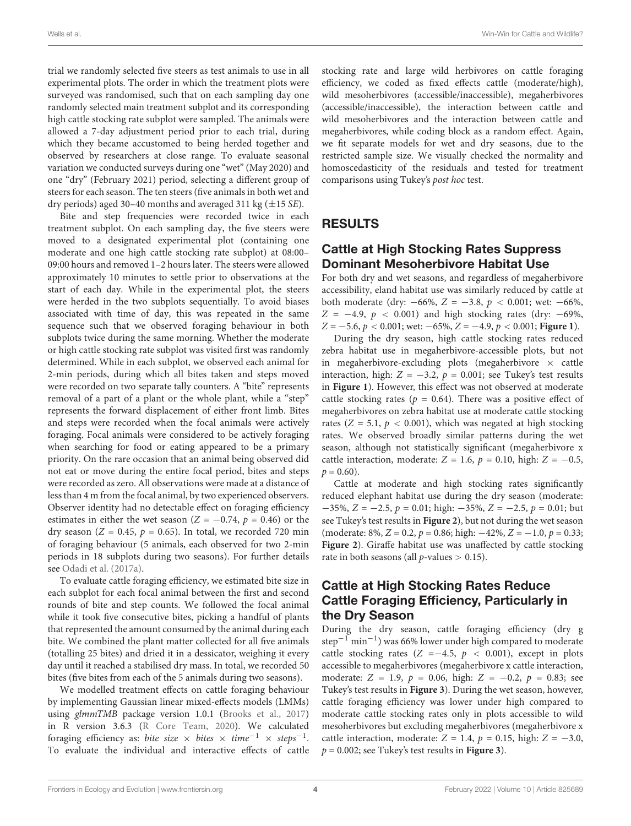trial we randomly selected five steers as test animals to use in all experimental plots. The order in which the treatment plots were surveyed was randomised, such that on each sampling day one randomly selected main treatment subplot and its corresponding high cattle stocking rate subplot were sampled. The animals were allowed a 7-day adjustment period prior to each trial, during which they became accustomed to being herded together and observed by researchers at close range. To evaluate seasonal variation we conducted surveys during one "wet" (May 2020) and one "dry" (February 2021) period, selecting a different group of steers for each season. The ten steers (five animals in both wet and dry periods) aged 30–40 months and averaged 311 kg  $(\pm 15 \text{ } \text{SE})$ .

Bite and step frequencies were recorded twice in each treatment subplot. On each sampling day, the five steers were moved to a designated experimental plot (containing one moderate and one high cattle stocking rate subplot) at 08:00– 09:00 hours and removed 1–2 hours later. The steers were allowed approximately 10 minutes to settle prior to observations at the start of each day. While in the experimental plot, the steers were herded in the two subplots sequentially. To avoid biases associated with time of day, this was repeated in the same sequence such that we observed foraging behaviour in both subplots twice during the same morning. Whether the moderate or high cattle stocking rate subplot was visited first was randomly determined. While in each subplot, we observed each animal for 2-min periods, during which all bites taken and steps moved were recorded on two separate tally counters. A "bite" represents removal of a part of a plant or the whole plant, while a "step" represents the forward displacement of either front limb. Bites and steps were recorded when the focal animals were actively foraging. Focal animals were considered to be actively foraging when searching for food or eating appeared to be a primary priority. On the rare occasion that an animal being observed did not eat or move during the entire focal period, bites and steps were recorded as zero. All observations were made at a distance of less than 4 m from the focal animal, by two experienced observers. Observer identity had no detectable effect on foraging efficiency estimates in either the wet season ( $Z = -0.74$ ,  $p = 0.46$ ) or the dry season ( $Z = 0.45$ ,  $p = 0.65$ ). In total, we recorded 720 min of foraging behaviour (5 animals, each observed for two 2-min periods in 18 subplots during two seasons). For further details see [Odadi et al.](#page-8-9) [\(2017a\)](#page-8-9).

To evaluate cattle foraging efficiency, we estimated bite size in each subplot for each focal animal between the first and second rounds of bite and step counts. We followed the focal animal while it took five consecutive bites, picking a handful of plants that represented the amount consumed by the animal during each bite. We combined the plant matter collected for all five animals (totalling 25 bites) and dried it in a dessicator, weighing it every day until it reached a stabilised dry mass. In total, we recorded 50 bites (five bites from each of the 5 animals during two seasons).

We modelled treatment effects on cattle foraging behaviour by implementing Gaussian linear mixed-effects models (LMMs) using glmmTMB package version 1.0.1 [\(Brooks et al.,](#page-7-14) [2017\)](#page-7-14) in R version 3.6.3 [\(R Core Team,](#page-8-20) [2020\)](#page-8-20). We calculated foraging efficiency as: bite size  $\times$  bites  $\times$  time<sup>-1</sup>  $\times$  steps<sup>-1</sup>. To evaluate the individual and interactive effects of cattle stocking rate and large wild herbivores on cattle foraging efficiency, we coded as fixed effects cattle (moderate/high), wild mesoherbivores (accessible/inaccessible), megaherbivores (accessible/inaccessible), the interaction between cattle and wild mesoherbivores and the interaction between cattle and megaherbivores, while coding block as a random effect. Again, we fit separate models for wet and dry seasons, due to the restricted sample size. We visually checked the normality and homoscedasticity of the residuals and tested for treatment comparisons using Tukey's post hoc test.

### RESULTS

# Cattle at High Stocking Rates Suppress Dominant Mesoherbivore Habitat Use

For both dry and wet seasons, and regardless of megaherbivore accessibility, eland habitat use was similarly reduced by cattle at both moderate (dry:  $-66\%$ ,  $Z = -3.8$ ,  $p < 0.001$ ; wet:  $-66\%$ ,  $Z = -4.9$ ,  $p < 0.001$ ) and high stocking rates (dry: -69%,  $Z = -5.6$ ,  $p < 0.001$ ; wet:  $-65\%$ ,  $Z = -4.9$ ,  $p < 0.001$ ; [Figure 1](#page-4-1)).

During the dry season, high cattle stocking rates reduced zebra habitat use in megaherbivore-accessible plots, but not in megaherbivore-excluding plots (megaherbivore  $\times$  cattle interaction, high:  $Z = -3.2$ ,  $p = 0.001$ ; see Tukey's test results in **[Figure 1](#page-4-1)**). However, this effect was not observed at moderate cattle stocking rates ( $p = 0.64$ ). There was a positive effect of megaherbivores on zebra habitat use at moderate cattle stocking rates ( $Z = 5.1$ ,  $p < 0.001$ ), which was negated at high stocking rates. We observed broadly similar patterns during the wet season, although not statistically significant (megaherbivore x cattle interaction, moderate:  $Z = 1.6$ ,  $p = 0.10$ , high:  $Z = -0.5$ ,  $p = 0.60$ ).

Cattle at moderate and high stocking rates significantly reduced elephant habitat use during the dry season (moderate:  $-35\%, Z = -2.5, p = 0.01$ ; high:  $-35\%, Z = -2.5, p = 0.01$ ; but see Tukey's test results in **[Figure 2](#page-4-0)**), but not during the wet season (moderate: 8%,  $Z = 0.2$ ,  $p = 0.86$ ; high:  $-42\%$ ,  $Z = -1.0$ ,  $p = 0.33$ ; **[Figure 2](#page-4-0)**). Giraffe habitat use was unaffected by cattle stocking rate in both seasons (all  $p$ -values  $> 0.15$ ).

### Cattle at High Stocking Rates Reduce Cattle Foraging Efficiency, Particularly in the Dry Season

During the dry season, cattle foraging efficiency (dry g step−<sup>1</sup> min−<sup>1</sup> ) was 66% lower under high compared to moderate cattle stocking rates ( $Z = -4.5$ ,  $p < 0.001$ ), except in plots accessible to megaherbivores (megaherbivore x cattle interaction, moderate:  $Z = 1.9$ ,  $p = 0.06$ , high:  $Z = -0.2$ ,  $p = 0.83$ ; see Tukey's test results in **[Figure 3](#page-5-0)**). During the wet season, however, cattle foraging efficiency was lower under high compared to moderate cattle stocking rates only in plots accessible to wild mesoherbivores but excluding megaherbivores (megaherbivore x cattle interaction, moderate:  $Z = 1.4$ ,  $p = 0.15$ , high:  $Z = -3.0$ ,  $p = 0.002$ ; see Tukey's test results in **[Figure 3](#page-5-0)**).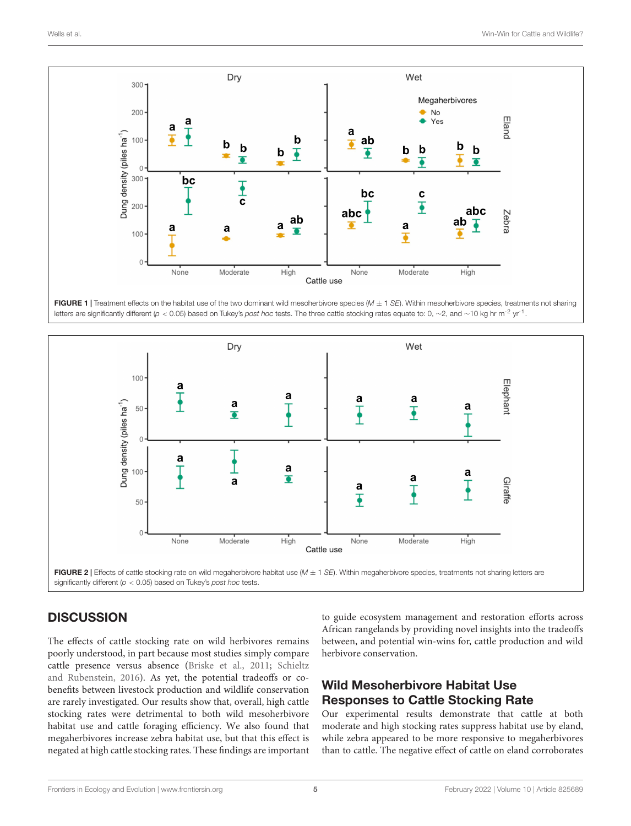

<span id="page-4-1"></span>



# <span id="page-4-0"></span>**DISCUSSION**

The effects of cattle stocking rate on wild herbivores remains poorly understood, in part because most studies simply compare cattle presence versus absence [\(Briske et al.,](#page-7-10) [2011;](#page-7-10) [Schieltz](#page-8-2) [and Rubenstein,](#page-8-2) [2016\)](#page-8-2). As yet, the potential tradeoffs or cobenefits between livestock production and wildlife conservation are rarely investigated. Our results show that, overall, high cattle stocking rates were detrimental to both wild mesoherbivore habitat use and cattle foraging efficiency. We also found that megaherbivores increase zebra habitat use, but that this effect is negated at high cattle stocking rates. These findings are important

to guide ecosystem management and restoration efforts across African rangelands by providing novel insights into the tradeoffs between, and potential win-wins for, cattle production and wild herbivore conservation.

# Wild Mesoherbivore Habitat Use Responses to Cattle Stocking Rate

Our experimental results demonstrate that cattle at both moderate and high stocking rates suppress habitat use by eland, while zebra appeared to be more responsive to megaherbivores than to cattle. The negative effect of cattle on eland corroborates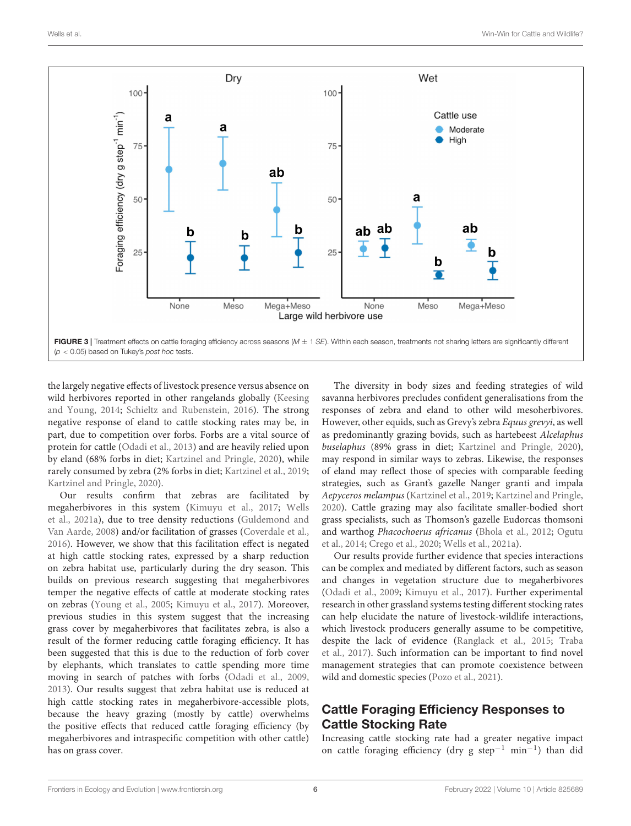

<span id="page-5-0"></span> $(p < 0.05)$  based on Tukey's post hoc tests.

the largely negative effects of livestock presence versus absence on wild herbivores reported in other rangelands globally [\(Keesing](#page-7-15) [and Young,](#page-7-15) [2014;](#page-7-15) [Schieltz and Rubenstein,](#page-8-2) [2016\)](#page-8-2). The strong negative response of eland to cattle stocking rates may be, in part, due to competition over forbs. Forbs are a vital source of protein for cattle [\(Odadi et al.,](#page-8-15) [2013\)](#page-8-15) and are heavily relied upon by eland (68% forbs in diet; [Kartzinel and Pringle,](#page-7-16) [2020\)](#page-7-16), while rarely consumed by zebra (2% forbs in diet; [Kartzinel et al.,](#page-7-17) [2019;](#page-7-17) [Kartzinel and Pringle,](#page-7-16) [2020\)](#page-7-16).

Our results confirm that zebras are facilitated by megaherbivores in this system [\(Kimuyu et al.,](#page-8-7) [2017;](#page-8-7) [Wells](#page-9-1) [et al.,](#page-9-1) [2021a\)](#page-9-1), due to tree density reductions [\(Guldemond and](#page-7-18) [Van Aarde,](#page-7-18) [2008\)](#page-7-18) and/or facilitation of grasses [\(Coverdale et al.,](#page-7-9) [2016\)](#page-7-9). However, we show that this facilitation effect is negated at high cattle stocking rates, expressed by a sharp reduction on zebra habitat use, particularly during the dry season. This builds on previous research suggesting that megaherbivores temper the negative effects of cattle at moderate stocking rates on zebras [\(Young et al.,](#page-9-3) [2005;](#page-9-3) [Kimuyu et al.,](#page-8-7) [2017\)](#page-8-7). Moreover, previous studies in this system suggest that the increasing grass cover by megaherbivores that facilitates zebra, is also a result of the former reducing cattle foraging efficiency. It has been suggested that this is due to the reduction of forb cover by elephants, which translates to cattle spending more time moving in search of patches with forbs [\(Odadi et al.,](#page-8-14) [2009,](#page-8-14) [2013\)](#page-8-15). Our results suggest that zebra habitat use is reduced at high cattle stocking rates in megaherbivore-accessible plots, because the heavy grazing (mostly by cattle) overwhelms the positive effects that reduced cattle foraging efficiency (by megaherbivores and intraspecific competition with other cattle) has on grass cover.

The diversity in body sizes and feeding strategies of wild savanna herbivores precludes confident generalisations from the responses of zebra and eland to other wild mesoherbivores. However, other equids, such as Grevy's zebra Equus grevyi, as well as predominantly grazing bovids, such as hartebeest Alcelaphus buselaphus (89% grass in diet; [Kartzinel and Pringle,](#page-7-16) [2020\)](#page-7-16), may respond in similar ways to zebras. Likewise, the responses of eland may reflect those of species with comparable feeding strategies, such as Grant's gazelle Nanger granti and impala Aepyceros melampus [\(Kartzinel et al.,](#page-7-17) [2019;](#page-7-17) [Kartzinel and Pringle,](#page-7-16) [2020\)](#page-7-16). Cattle grazing may also facilitate smaller-bodied short grass specialists, such as Thomson's gazelle Eudorcas thomsoni and warthog Phacochoerus africanus [\(Bhola et al.,](#page-7-19) [2012;](#page-7-19) [Ogutu](#page-8-22) [et al.,](#page-8-22) [2014;](#page-8-22) [Crego et al.,](#page-7-20) [2020;](#page-7-20) [Wells et al.,](#page-9-1) [2021a\)](#page-9-1).

Our results provide further evidence that species interactions can be complex and mediated by different factors, such as season and changes in vegetation structure due to megaherbivores [\(Odadi et al.,](#page-8-14) [2009;](#page-8-14) [Kimuyu et al.,](#page-8-7) [2017\)](#page-8-7). Further experimental research in other grassland systems testing different stocking rates can help elucidate the nature of livestock-wildlife interactions, which livestock producers generally assume to be competitive, despite the lack of evidence [\(Ranglack et al.,](#page-8-6) [2015;](#page-8-6) [Traba](#page-8-23) [et al.,](#page-8-23) [2017\)](#page-8-23). Such information can be important to find novel management strategies that can promote coexistence between wild and domestic species [\(Pozo et al.,](#page-8-24) [2021\)](#page-8-24).

# Cattle Foraging Efficiency Responses to Cattle Stocking Rate

Increasing cattle stocking rate had a greater negative impact on cattle foraging efficiency (dry g step−<sup>1</sup> min−<sup>1</sup> ) than did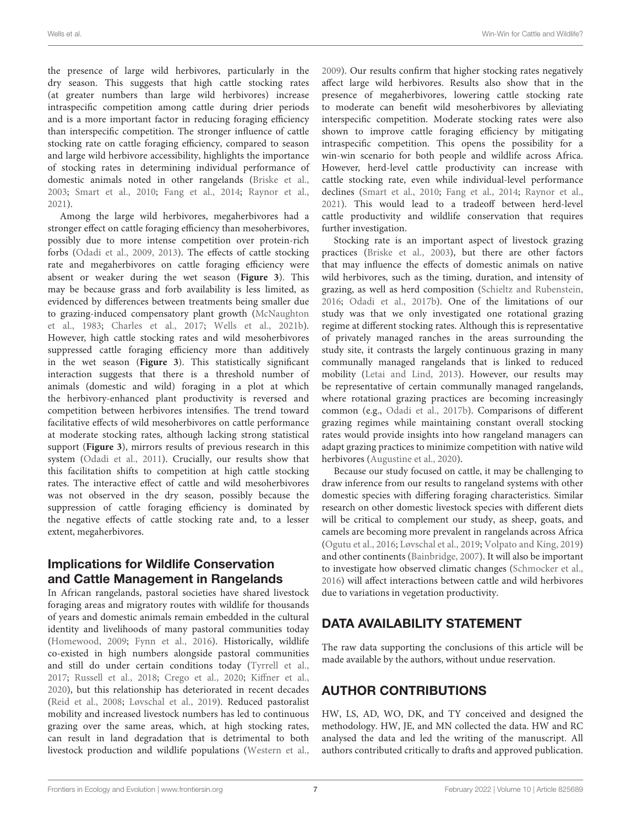the presence of large wild herbivores, particularly in the dry season. This suggests that high cattle stocking rates (at greater numbers than large wild herbivores) increase intraspecific competition among cattle during drier periods and is a more important factor in reducing foraging efficiency than interspecific competition. The stronger influence of cattle stocking rate on cattle foraging efficiency, compared to season and large wild herbivore accessibility, highlights the importance of stocking rates in determining individual performance of domestic animals noted in other rangelands [\(Briske et al.,](#page-7-21) [2003;](#page-7-21) [Smart et al.,](#page-8-25) [2010;](#page-8-25) [Fang et al.,](#page-7-22) [2014;](#page-7-22) [Raynor et al.,](#page-8-26) [2021\)](#page-8-26).

Among the large wild herbivores, megaherbivores had a stronger effect on cattle foraging efficiency than mesoherbivores, possibly due to more intense competition over protein-rich forbs [\(Odadi et al.,](#page-8-14) [2009,](#page-8-14) [2013\)](#page-8-15). The effects of cattle stocking rate and megaherbivores on cattle foraging efficiency were absent or weaker during the wet season (**[Figure 3](#page-5-0)**). This may be because grass and forb availability is less limited, as evidenced by differences between treatments being smaller due to grazing-induced compensatory plant growth [\(McNaughton](#page-8-27) [et al.,](#page-8-27) [1983;](#page-8-27) [Charles et al.,](#page-7-23) [2017;](#page-7-23) [Wells et al.,](#page-9-4) [2021b\)](#page-9-4). However, high cattle stocking rates and wild mesoherbivores suppressed cattle foraging efficiency more than additively in the wet season (**[Figure 3](#page-5-0)**). This statistically significant interaction suggests that there is a threshold number of animals (domestic and wild) foraging in a plot at which the herbivory-enhanced plant productivity is reversed and competition between herbivores intensifies. The trend toward facilitative effects of wild mesoherbivores on cattle performance at moderate stocking rates, although lacking strong statistical support (**[Figure 3](#page-5-0)**), mirrors results of previous research in this system [\(Odadi et al.,](#page-8-11) [2011\)](#page-8-11). Crucially, our results show that this facilitation shifts to competition at high cattle stocking rates. The interactive effect of cattle and wild mesoherbivores was not observed in the dry season, possibly because the suppression of cattle foraging efficiency is dominated by the negative effects of cattle stocking rate and, to a lesser extent, megaherbivores.

#### Implications for Wildlife Conservation and Cattle Management in Rangelands

In African rangelands, pastoral societies have shared livestock foraging areas and migratory routes with wildlife for thousands of years and domestic animals remain embedded in the cultural identity and livelihoods of many pastoral communities today [\(Homewood,](#page-7-5) [2009;](#page-7-5) [Fynn et al.,](#page-7-24) [2016\)](#page-7-24). Historically, wildlife co-existed in high numbers alongside pastoral communities and still do under certain conditions today [\(Tyrrell et al.,](#page-8-1) [2017;](#page-8-1) [Russell et al.,](#page-8-28) [2018;](#page-8-28) [Crego et al.,](#page-7-20) [2020;](#page-7-20) [Kiffner et al.,](#page-8-29) [2020\)](#page-8-29), but this relationship has deteriorated in recent decades [\(Reid et al.,](#page-8-30) [2008;](#page-8-30) [Løvschal et al.,](#page-8-31) [2019\)](#page-8-31). Reduced pastoralist mobility and increased livestock numbers has led to continuous grazing over the same areas, which, at high stocking rates, can result in land degradation that is detrimental to both livestock production and wildlife populations [\(Western et al.,](#page-9-5)

[2009\)](#page-9-5). Our results confirm that higher stocking rates negatively affect large wild herbivores. Results also show that in the presence of megaherbivores, lowering cattle stocking rate to moderate can benefit wild mesoherbivores by alleviating interspecific competition. Moderate stocking rates were also shown to improve cattle foraging efficiency by mitigating intraspecific competition. This opens the possibility for a win-win scenario for both people and wildlife across Africa. However, herd-level cattle productivity can increase with cattle stocking rate, even while individual-level performance declines [\(Smart et al.,](#page-8-25) [2010;](#page-8-25) [Fang et al.,](#page-7-22) [2014;](#page-7-22) [Raynor et al.,](#page-8-26) [2021\)](#page-8-26). This would lead to a tradeoff between herd-level cattle productivity and wildlife conservation that requires further investigation.

Stocking rate is an important aspect of livestock grazing practices [\(Briske et al.,](#page-7-21) [2003\)](#page-7-21), but there are other factors that may influence the effects of domestic animals on native wild herbivores, such as the timing, duration, and intensity of grazing, as well as herd composition [\(Schieltz and Rubenstein,](#page-8-2) [2016;](#page-8-2) [Odadi et al.,](#page-8-32) [2017b\)](#page-8-32). One of the limitations of our study was that we only investigated one rotational grazing regime at different stocking rates. Although this is representative of privately managed ranches in the areas surrounding the study site, it contrasts the largely continuous grazing in many communally managed rangelands that is linked to reduced mobility [\(Letai and Lind,](#page-8-33) [2013\)](#page-8-33). However, our results may be representative of certain communally managed rangelands, where rotational grazing practices are becoming increasingly common (e.g., [Odadi et al.,](#page-8-32) [2017b\)](#page-8-32). Comparisons of different grazing regimes while maintaining constant overall stocking rates would provide insights into how rangeland managers can adapt grazing practices to minimize competition with native wild herbivores [\(Augustine et al.,](#page-7-25) [2020\)](#page-7-25).

Because our study focused on cattle, it may be challenging to draw inference from our results to rangeland systems with other domestic species with differing foraging characteristics. Similar research on other domestic livestock species with different diets will be critical to complement our study, as sheep, goats, and camels are becoming more prevalent in rangelands across Africa [\(Ogutu et al.,](#page-8-34) [2016;](#page-8-34) [Løvschal et al.,](#page-8-31) [2019;](#page-8-31) [Volpato and King,](#page-8-35) [2019\)](#page-8-35) and other continents [\(Bainbridge,](#page-7-26) [2007\)](#page-7-26). It will also be important to investigate how observed climatic changes [\(Schmocker et al.,](#page-8-36) [2016\)](#page-8-36) will affect interactions between cattle and wild herbivores due to variations in vegetation productivity.

# DATA AVAILABILITY STATEMENT

The raw data supporting the conclusions of this article will be made available by the authors, without undue reservation.

# AUTHOR CONTRIBUTIONS

HW, LS, AD, WO, DK, and TY conceived and designed the methodology. HW, JE, and MN collected the data. HW and RC analysed the data and led the writing of the manuscript. All authors contributed critically to drafts and approved publication.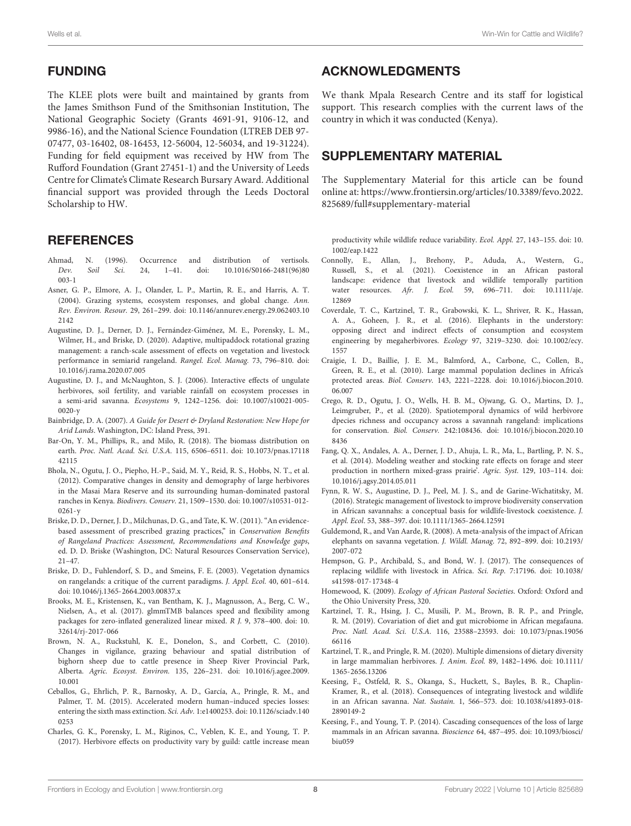# FUNDING

The KLEE plots were built and maintained by grants from the James Smithson Fund of the Smithsonian Institution, The National Geographic Society (Grants 4691-91, 9106-12, and 9986-16), and the National Science Foundation (LTREB DEB 97- 07477, 03-16402, 08-16453, 12-56004, 12-56034, and 19-31224). Funding for field equipment was received by HW from The Rufford Foundation (Grant 27451-1) and the University of Leeds Centre for Climate's Climate Research Bursary Award. Additional financial support was provided through the Leeds Doctoral Scholarship to HW.

#### **REFERENCES**

- <span id="page-7-11"></span>Ahmad, N. (1996). Occurrence and distribution of vertisols. Dev. Soil Sci. 24, 1–41. [doi: 10.1016/S0166-2481\(96\)80](https://doi.org/10.1016/S0166-2481(96)80003-1) [003-1](https://doi.org/10.1016/S0166-2481(96)80003-1)
- <span id="page-7-0"></span>Asner, G. P., Elmore, A. J., Olander, L. P., Martin, R. E., and Harris, A. T. (2004). Grazing systems, ecosystem responses, and global change. Ann. Rev. Environ. Resour. 29, 261–299. [doi: 10.1146/annurev.energy.29.062403.10](https://doi.org/10.1146/annurev.energy.29.062403.102142) [2142](https://doi.org/10.1146/annurev.energy.29.062403.102142)
- <span id="page-7-25"></span>Augustine, D. J., Derner, D. J., Fernández-Giménez, M. E., Porensky, L. M., Wilmer, H., and Briske, D. (2020). Adaptive, multipaddock rotational grazing management: a ranch-scale assessment of effects on vegetation and livestock performance in semiarid rangeland. Rangel. Ecol. Manag. 73, 796–810. [doi:](https://doi.org/10.1016/j.rama.2020.07.005) [10.1016/j.rama.2020.07.005](https://doi.org/10.1016/j.rama.2020.07.005)
- <span id="page-7-12"></span>Augustine, D. J., and McNaughton, S. J. (2006). Interactive effects of ungulate herbivores, soil fertility, and variable rainfall on ecosystem processes in a semi-arid savanna. Ecosystems 9, 1242–1256. [doi: 10.1007/s10021-005-](https://doi.org/10.1007/s10021-005-0020-y) [0020-y](https://doi.org/10.1007/s10021-005-0020-y)
- <span id="page-7-26"></span>Bainbridge, D. A. (2007). A Guide for Desert & Dryland Restoration: New Hope for Arid Lands. Washington, DC: Island Press, 391.
- <span id="page-7-1"></span>Bar-On, Y. M., Phillips, R., and Milo, R. (2018). The biomass distribution on earth. Proc. Natl. Acad. Sci. U.S.A. 115, 6506–6511. [doi: 10.1073/pnas.17118](https://doi.org/10.1073/pnas.1711842115) [42115](https://doi.org/10.1073/pnas.1711842115)
- <span id="page-7-19"></span>Bhola, N., Ogutu, J. O., Piepho, H.-P., Said, M. Y., Reid, R. S., Hobbs, N. T., et al. (2012). Comparative changes in density and demography of large herbivores in the Masai Mara Reserve and its surrounding human-dominated pastoral ranches in Kenya. Biodivers. Conserv. 21, 1509–1530. [doi: 10.1007/s10531-012-](https://doi.org/10.1007/s10531-012-0261-y) [0261-y](https://doi.org/10.1007/s10531-012-0261-y)
- <span id="page-7-10"></span>Briske, D. D., Derner, J. D., Milchunas, D. G., and Tate, K. W. (2011). "An evidencebased assessment of prescribed grazing practices," in Conservation Benefits of Rangeland Practices: Assessment, Recommendations and Knowledge gaps, ed. D. D. Briske (Washington, DC: Natural Resources Conservation Service), 21–47.
- <span id="page-7-21"></span>Briske, D. D., Fuhlendorf, S. D., and Smeins, F. E. (2003). Vegetation dynamics on rangelands: a critique of the current paradigms. J. Appl. Ecol. 40, 601–614. [doi: 10.1046/j.1365-2664.2003.00837.x](https://doi.org/10.1046/j.1365-2664.2003.00837.x)
- <span id="page-7-14"></span>Brooks, M. E., Kristensen, K., van Bentham, K. J., Magnusson, A., Berg, C. W., Nielsen, A., et al. (2017). glmmTMB balances speed and flexibility among packages for zero-inflated generalized linear mixed. R J. 9, 378–400. [doi: 10.](https://doi.org/10.32614/rj-2017-066) [32614/rj-2017-066](https://doi.org/10.32614/rj-2017-066)
- <span id="page-7-8"></span>Brown, N. A., Ruckstuhl, K. E., Donelon, S., and Corbett, C. (2010). Changes in vigilance, grazing behaviour and spatial distribution of bighorn sheep due to cattle presence in Sheep River Provincial Park, Alberta. Agric. Ecosyst. Environ. 135, 226–231. [doi: 10.1016/j.agee.2009.](https://doi.org/10.1016/j.agee.2009.10.001) [10.001](https://doi.org/10.1016/j.agee.2009.10.001)
- <span id="page-7-3"></span>Ceballos, G., Ehrlich, P. R., Barnosky, A. D., García, A., Pringle, R. M., and Palmer, T. M. (2015). Accelerated modern human–induced species losses: entering the sixth mass extinction. Sci. Adv. 1:e1400253. [doi: 10.1126/sciadv.140](https://doi.org/10.1126/sciadv.1400253) [0253](https://doi.org/10.1126/sciadv.1400253)
- <span id="page-7-23"></span>Charles, G. K., Porensky, L. M., Riginos, C., Veblen, K. E., and Young, T. P. (2017). Herbivore effects on productivity vary by guild: cattle increase mean

#### ACKNOWLEDGMENTS

We thank Mpala Research Centre and its staff for logistical support. This research complies with the current laws of the country in which it was conducted (Kenya).

#### <span id="page-7-13"></span>SUPPLEMENTARY MATERIAL

The Supplementary Material for this article can be found online at: [https://www.frontiersin.org/articles/10.3389/fevo.2022.](https://www.frontiersin.org/articles/10.3389/fevo.2022.825689/full#supplementary-material) [825689/full#supplementary-material](https://www.frontiersin.org/articles/10.3389/fevo.2022.825689/full#supplementary-material)

productivity while wildlife reduce variability. Ecol. Appl. 27, 143–155. [doi: 10.](https://doi.org/10.1002/eap.1422) [1002/eap.1422](https://doi.org/10.1002/eap.1422)

- <span id="page-7-7"></span>Connolly, E., Allan, J., Brehony, P., Aduda, A., Western, G., Russell, S., et al. (2021). Coexistence in an African pastoral landscape: evidence that livestock and wildlife temporally partition water resources. Afr. J. Ecol. 59, 696–711. [doi: 10.1111/aje.](https://doi.org/10.1111/aje.12869) [12869](https://doi.org/10.1111/aje.12869)
- <span id="page-7-9"></span>Coverdale, T. C., Kartzinel, T. R., Grabowski, K. L., Shriver, R. K., Hassan, A. A., Goheen, J. R., et al. (2016). Elephants in the understory: opposing direct and indirect effects of consumption and ecosystem engineering by megaherbivores. Ecology 97, 3219–3230. [doi: 10.1002/ecy.](https://doi.org/10.1002/ecy.1557) [1557](https://doi.org/10.1002/ecy.1557)
- <span id="page-7-2"></span>Craigie, I. D., Baillie, J. E. M., Balmford, A., Carbone, C., Collen, B., Green, R. E., et al. (2010). Large mammal population declines in Africa's protected areas. Biol. Conserv. 143, 2221–2228. [doi: 10.1016/j.biocon.2010.](https://doi.org/10.1016/j.biocon.2010.06.007) [06.007](https://doi.org/10.1016/j.biocon.2010.06.007)
- <span id="page-7-20"></span>Crego, R. D., Ogutu, J. O., Wells, H. B. M., Ojwang, G. O., Martins, D. J., Leimgruber, P., et al. (2020). Spatiotemporal dynamics of wild herbivore dpecies richness and occupancy across a savannah rangeland: implications for conservation. Biol. Conserv. 242:108436. [doi: 10.1016/j.biocon.2020.10](https://doi.org/10.1016/j.biocon.2020.108436) [8436](https://doi.org/10.1016/j.biocon.2020.108436)
- <span id="page-7-22"></span>Fang, Q. X., Andales, A. A., Derner, J. D., Ahuja, L. R., Ma, L., Bartling, P. N. S., et al. (2014). Modeling weather and stocking rate effects on forage and steer production in northern mixed-grass prairie'. Agric. Syst. 129, 103–114. [doi:](https://doi.org/10.1016/j.agsy.2014.05.011) [10.1016/j.agsy.2014.05.011](https://doi.org/10.1016/j.agsy.2014.05.011)
- <span id="page-7-24"></span>Fynn, R. W. S., Augustine, D. J., Peel, M. J. S., and de Garine-Wichatitsky, M. (2016). Strategic management of livestock to improve biodiversity conservation in African savannahs: a conceptual basis for wildlife-livestock coexistence. J. Appl. Ecol. 53, 388–397. [doi: 10.1111/1365-2664.12591](https://doi.org/10.1111/1365-2664.12591)
- <span id="page-7-18"></span>Guldemond, R., and Van Aarde, R. (2008). A meta-analysis of the impact of African elephants on savanna vegetation. J. Wildl. Manag. 72, 892–899. [doi: 10.2193/](https://doi.org/10.2193/2007-072) [2007-072](https://doi.org/10.2193/2007-072)
- <span id="page-7-4"></span>Hempson, G. P., Archibald, S., and Bond, W. J. (2017). The consequences of replacing wildlife with livestock in Africa. Sci. Rep. 7:17196. [doi: 10.1038/](https://doi.org/10.1038/s41598-017-17348-4) [s41598-017-17348-4](https://doi.org/10.1038/s41598-017-17348-4)
- <span id="page-7-5"></span>Homewood, K. (2009). Ecology of African Pastoral Societies. Oxford: Oxford and the Ohio University Press, 320.
- <span id="page-7-17"></span>Kartzinel, T. R., Hsing, J. C., Musili, P. M., Brown, B. R. P., and Pringle, R. M. (2019). Covariation of diet and gut microbiome in African megafauna. Proc. Natl. Acad. Sci. U.S.A. 116, 23588–23593. [doi: 10.1073/pnas.19056](https://doi.org/10.1073/pnas.1905666116) [66116](https://doi.org/10.1073/pnas.1905666116)
- <span id="page-7-16"></span>Kartzinel, T. R., and Pringle, R. M. (2020). Multiple dimensions of dietary diversity in large mammalian herbivores. J. Anim. Ecol. 89, 1482–1496. [doi: 10.1111/](https://doi.org/10.1111/1365-2656.13206) [1365-2656.13206](https://doi.org/10.1111/1365-2656.13206)
- <span id="page-7-6"></span>Keesing, F., Ostfeld, R. S., Okanga, S., Huckett, S., Bayles, B. R., Chaplin-Kramer, R., et al. (2018). Consequences of integrating livestock and wildlife in an African savanna. Nat. Sustain. 1, 566–573. [doi: 10.1038/s41893-018-](https://doi.org/10.1038/s41893-018-0149-2) [2890149-2](https://doi.org/10.1038/s41893-018-0149-2)
- <span id="page-7-15"></span>Keesing, F., and Young, T. P. (2014). Cascading consequences of the loss of large mammals in an African savanna. Bioscience 64, 487–495. [doi: 10.1093/biosci/](https://doi.org/10.1093/biosci/biu059) [biu059](https://doi.org/10.1093/biosci/biu059)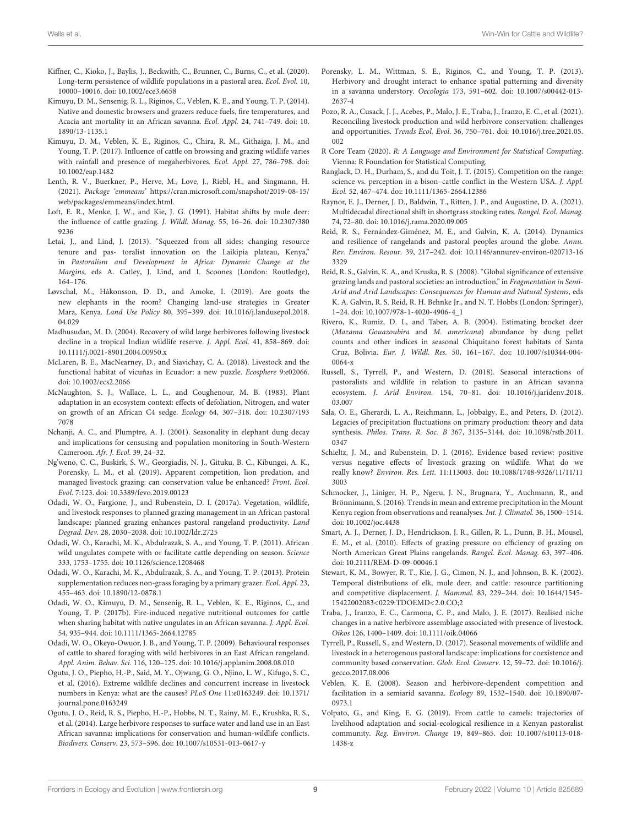- <span id="page-8-29"></span>Kiffner, C., Kioko, J., Baylis, J., Beckwith, C., Brunner, C., Burns, C., et al. (2020). Long-term persistence of wildlife populations in a pastoral area. Ecol. Evol. 10, 10000–10016. [doi: 10.1002/ece3.6658](https://doi.org/10.1002/ece3.6658)
- <span id="page-8-8"></span>Kimuyu, D. M., Sensenig, R. L., Riginos, C., Veblen, K. E., and Young, T. P. (2014). Native and domestic browsers and grazers reduce fuels, fire temperatures, and Acacia ant mortality in an African savanna. Ecol. Appl. 24, 741–749. [doi: 10.](https://doi.org/10.1890/13-1135.1) [1890/13-1135.1](https://doi.org/10.1890/13-1135.1)
- <span id="page-8-7"></span>Kimuyu, D. M., Veblen, K. E., Riginos, C., Chira, R. M., Githaiga, J. M., and Young, T. P. (2017). Influence of cattle on browsing and grazing wildlife varies with rainfall and presence of megaherbivores. Ecol. Appl. 27, 786–798. [doi:](https://doi.org/10.1002/eap.1482) [10.1002/eap.1482](https://doi.org/10.1002/eap.1482)
- <span id="page-8-21"></span>Lenth, R. V., Buerkner, P., Herve, M., Love, J., Riebl, H., and Singmann, H. (2021). Package 'emmeans' [https://cran.microsoft.com/snapshot/2019-08-15/](https://cran.microsoft.com/snapshot/2019-08-15/web/packages/emmeans/index.html) [web/packages/emmeans/index.html.](https://cran.microsoft.com/snapshot/2019-08-15/web/packages/emmeans/index.html)
- <span id="page-8-3"></span>Loft, E. R., Menke, J. W., and Kie, J. G. (1991). Habitat shifts by mule deer: the influence of cattle grazing. J. Wildl. Manag. 55, 16–26. [doi: 10.2307/380](https://doi.org/10.2307/3809236) [9236](https://doi.org/10.2307/3809236)
- <span id="page-8-33"></span>Letai, J., and Lind, J. (2013). "Squeezed from all sides: changing resource tenure and pas- toralist innovation on the Laikipia plateau, Kenya," in Pastoralism and Development in Africa: Dynamic Change at the Margins, eds A. Catley, J. Lind, and I. Scoones (London: Routledge), 164–176.
- <span id="page-8-31"></span>Løvschal, M., Håkonsson, D. D., and Amoke, I. (2019). Are goats the new elephants in the room? Changing land-use strategies in Greater Mara, Kenya. Land Use Policy 80, 395–399. [doi: 10.1016/j.landusepol.2018.](https://doi.org/10.1016/j.landusepol.2018.04.029) [04.029](https://doi.org/10.1016/j.landusepol.2018.04.029)
- <span id="page-8-5"></span>Madhusudan, M. D. (2004). Recovery of wild large herbivores following livestock decline in a tropical Indian wildlife reserve. J. Appl. Ecol. 41, 858–869. [doi:](https://doi.org/10.1111/j.0021-8901.2004.00950.x) [10.1111/j.0021-8901.2004.00950.x](https://doi.org/10.1111/j.0021-8901.2004.00950.x)
- <span id="page-8-12"></span>McLaren, B. E., MacNearney, D., and Siavichay, C. A. (2018). Livestock and the functional habitat of vicuñas in Ecuador: a new puzzle. Ecosphere 9:e02066. [doi: 10.1002/ecs2.2066](https://doi.org/10.1002/ecs2.2066)
- <span id="page-8-27"></span>McNaughton, S. J., Wallace, L. L., and Coughenour, M. B. (1983). Plant adaptation in an ecosystem context: effects of defoliation, Nitrogen, and water on growth of an African C4 sedge. Ecology 64, 307–318. [doi: 10.2307/193](https://doi.org/10.2307/1937078) [7078](https://doi.org/10.2307/1937078)
- <span id="page-8-18"></span>Nchanji, A. C., and Plumptre, A. J. (2001). Seasonality in elephant dung decay and implications for censusing and population monitoring in South-Western Cameroon. Afr. J. Ecol. 39, 24–32.
- <span id="page-8-10"></span>Ng'weno, C. C., Buskirk, S. W., Georgiadis, N. J., Gituku, B. C., Kibungei, A. K., Porensky, L. M., et al. (2019). Apparent competition, lion predation, and managed livestock grazing: can conservation value be enhanced? Front. Ecol. Evol. 7:123. [doi: 10.3389/fevo.2019.00123](https://doi.org/10.3389/fevo.2019.00123)
- <span id="page-8-9"></span>Odadi, W. O., Fargione, J., and Rubenstein, D. I. (2017a). Vegetation, wildlife, and livestock responses to planned grazing management in an African pastoral landscape: planned grazing enhances pastoral rangeland productivity. Land Degrad. Dev. 28, 2030–2038. [doi: 10.1002/ldr.2725](https://doi.org/10.1002/ldr.2725)
- <span id="page-8-11"></span>Odadi, W. O., Karachi, M. K., Abdulrazak, S. A., and Young, T. P. (2011). African wild ungulates compete with or facilitate cattle depending on season. Science 333, 1753–1755. [doi: 10.1126/science.1208468](https://doi.org/10.1126/science.1208468)
- <span id="page-8-15"></span>Odadi, W. O., Karachi, M. K., Abdulrazak, S. A., and Young, T. P. (2013). Protein supplementation reduces non-grass foraging by a primary grazer. Ecol. Appl. 23, 455–463. [doi: 10.1890/12-0878.1](https://doi.org/10.1890/12-0878.1)
- <span id="page-8-32"></span>Odadi, W. O., Kimuyu, D. M., Sensenig, R. L., Veblen, K. E., Riginos, C., and Young, T. P. (2017b). Fire-induced negative nutritional outcomes for cattle when sharing habitat with native ungulates in an African savanna. J. Appl. Ecol. 54, 935–944. [doi: 10.1111/1365-2664.12785](https://doi.org/10.1111/1365-2664.12785)
- <span id="page-8-14"></span>Odadi, W. O., Okeyo-Owuor, J. B., and Young, T. P. (2009). Behavioural responses of cattle to shared foraging with wild herbivores in an East African rangeland. Appl. Anim. Behav. Sci. 116, 120–125. [doi: 10.1016/j.applanim.2008.08.010](https://doi.org/10.1016/j.applanim.2008.08.010)
- <span id="page-8-34"></span>Ogutu, J. O., Piepho, H.-P., Said, M. Y., Ojwang, G. O., Njino, L. W., Kifugo, S. C., et al. (2016). Extreme wildlife declines and concurrent increase in livestock numbers in Kenya: what are the causes? PLoS One 11:e0163249. [doi: 10.1371/](https://doi.org/10.1371/journal.pone.0163249) [journal.pone.0163249](https://doi.org/10.1371/journal.pone.0163249)
- <span id="page-8-22"></span>Ogutu, J. O., Reid, R. S., Piepho, H.-P., Hobbs, N. T., Rainy, M. E., Krushka, R. S., et al. (2014). Large herbivore responses to surface water and land use in an East African savanna: implications for conservation and human-wildlife conflicts. Biodivers. Conserv. 23, 573–596. [doi: 10.1007/s10531-013-0617-y](https://doi.org/10.1007/s10531-013-0617-y)
- <span id="page-8-16"></span>Porensky, L. M., Wittman, S. E., Riginos, C., and Young, T. P. (2013). Herbivory and drought interact to enhance spatial patterning and diversity in a savanna understory. Oecologia 173, 591–602. [doi: 10.1007/s00442-013-](https://doi.org/10.1007/s00442-013-2637-4) [2637-4](https://doi.org/10.1007/s00442-013-2637-4)
- <span id="page-8-24"></span>Pozo, R. A., Cusack, J. J., Acebes, P., Malo, J. E., Traba, J., Iranzo, E. C., et al. (2021). Reconciling livestock production and wild herbivore conservation: challenges and opportunities. Trends Ecol. Evol. 36, 750–761. [doi: 10.1016/j.tree.2021.05.](https://doi.org/10.1016/j.tree.2021.05.002) [002](https://doi.org/10.1016/j.tree.2021.05.002)
- <span id="page-8-20"></span>R Core Team (2020). R: A Language and Environment for Statistical Computing. Vienna: R Foundation for Statistical Computing.
- <span id="page-8-6"></span>Ranglack, D. H., Durham, S., and du Toit, J. T. (2015). Competition on the range: science vs. perception in a bison–cattle conflict in the Western USA. J. Appl. Ecol. 52, 467–474. [doi: 10.1111/1365-2664.12386](https://doi.org/10.1111/1365-2664.12386)
- <span id="page-8-26"></span>Raynor, E. J., Derner, J. D., Baldwin, T., Ritten, J. P., and Augustine, D. A. (2021). Multidecadal directional shift in shortgrass stocking rates. Rangel. Ecol. Manag. 74, 72–80. [doi: 10.1016/j.rama.2020.09.005](https://doi.org/10.1016/j.rama.2020.09.005)
- <span id="page-8-0"></span>Reid, R. S., Fernández-Giménez, M. E., and Galvin, K. A. (2014). Dynamics and resilience of rangelands and pastoral peoples around the globe. Annu. Rev. Environ. Resour. 39, 217–242. [doi: 10.1146/annurev-environ-020713-16](https://doi.org/10.1146/annurev-environ-020713-163329) [3329](https://doi.org/10.1146/annurev-environ-020713-163329)
- <span id="page-8-30"></span>Reid, R. S., Galvin, K. A., and Kruska, R. S. (2008). "Global significance of extensive grazing lands and pastoral societies: an introduction," in Fragmentation in Semi-Arid and Arid Landscapes: Consequences for Human and Natural Systems, eds K. A. Galvin, R. S. Reid, R. H. Behnke Jr., and N. T. Hobbs (London: Springer), 1–24. [doi: 10.1007/978-1-4020-4906-4\\_1](https://doi.org/10.1007/978-1-4020-4906-4_1)
- <span id="page-8-19"></span>Rivero, K., Rumiz, D. I., and Taber, A. B. (2004). Estimating brocket deer (Mazama Gouazoubira and M. americana) abundance by dung pellet counts and other indices in seasonal Chiquitano forest habitats of Santa Cruz, Bolivia. Eur. J. Wildl. Res. 50, 161–167. [doi: 10.1007/s10344-004-](https://doi.org/10.1007/s10344-004-0064-x) [0064-x](https://doi.org/10.1007/s10344-004-0064-x)
- <span id="page-8-28"></span>Russell, S., Tyrrell, P., and Western, D. (2018). Seasonal interactions of pastoralists and wildlife in relation to pasture in an African savanna ecosystem. J. Arid Environ. 154, 70–81. [doi: 10.1016/j.jaridenv.2018.](https://doi.org/10.1016/j.jaridenv.2018.03.007) [03.007](https://doi.org/10.1016/j.jaridenv.2018.03.007)
- <span id="page-8-17"></span>Sala, O. E., Gherardi, L. A., Reichmann, L., Jobbaìgy, E., and Peters, D. (2012). Legacies of precipitation fluctuations on primary production: theory and data synthesis. Philos. Trans. R. Soc. B 367, 3135–3144. [doi: 10.1098/rstb.2011.](https://doi.org/10.1098/rstb.2011.0347) [0347](https://doi.org/10.1098/rstb.2011.0347)
- <span id="page-8-2"></span>Schieltz, J. M., and Rubenstein, D. I. (2016). Evidence based review: positive versus negative effects of livestock grazing on wildlife. What do we really know? Environ. Res. Lett. 11:113003. [doi: 10.1088/1748-9326/11/11/11](https://doi.org/10.1088/1748-9326/11/11/113003) [3003](https://doi.org/10.1088/1748-9326/11/11/113003)
- <span id="page-8-36"></span>Schmocker, J., Liniger, H. P., Ngeru, J. N., Brugnara, Y., Auchmann, R., and Brönnimann, S. (2016). Trends in mean and extreme precipitation in the Mount Kenya region from observations and reanalyses. Int. J. Climatol. 36, 1500–1514. [doi: 10.1002/joc.4438](https://doi.org/10.1002/joc.4438)
- <span id="page-8-25"></span>Smart, A. J., Derner, J. D., Hendrickson, J. R., Gillen, R. L., Dunn, B. H., Mousel, E. M., et al. (2010). Effects of grazing pressure on efficiency of grazing on North American Great Plains rangelands. Rangel. Ecol. Manag. 63, 397–406. [doi: 10.2111/REM-D-09-00046.1](https://doi.org/10.2111/REM-D-09-00046.1)
- <span id="page-8-4"></span>Stewart, K. M., Bowyer, R. T., Kie, J. G., Cimon, N. J., and Johnson, B. K. (2002). Temporal distributions of elk, mule deer, and cattle: resource partitioning and competitive displacement. J. Mammal. 83, 229–244. [doi: 10.1644/1545-](https://doi.org/10.1644/1545-15422002083<0229:TDOEMD<2.0.CO;2) [15422002083<0229:TDOEMD<2.0.CO;2](https://doi.org/10.1644/1545-15422002083<0229:TDOEMD<2.0.CO;2)
- <span id="page-8-23"></span>Traba, J., Iranzo, E. C., Carmona, C. P., and Malo, J. E. (2017). Realised niche changes in a native herbivore assemblage associated with presence of livestock. Oikos 126, 1400–1409. [doi: 10.1111/oik.04066](https://doi.org/10.1111/oik.04066)
- <span id="page-8-1"></span>Tyrrell, P., Russell, S., and Western, D. (2017). Seasonal movements of wildlife and livestock in a heterogenous pastoral landscape: implications for coexistence and community based conservation. Glob. Ecol. Conserv. 12, 59–72. [doi: 10.1016/j.](https://doi.org/10.1016/j.gecco.2017.08.006) [gecco.2017.08.006](https://doi.org/10.1016/j.gecco.2017.08.006)
- <span id="page-8-13"></span>Veblen, K. E. (2008). Season and herbivore-dependent competition and facilitation in a semiarid savanna. Ecology 89, 1532–1540. [doi: 10.1890/07-](https://doi.org/10.1890/07-0973.1) [0973.1](https://doi.org/10.1890/07-0973.1)
- <span id="page-8-35"></span>Volpato, G., and King, E. G. (2019). From cattle to camels: trajectories of livelihood adaptation and social-ecological resilience in a Kenyan pastoralist community. Reg. Environ. Change 19, 849–865. [doi: 10.1007/s10113-018-](https://doi.org/10.1007/s10113-018-1438-z) [1438-z](https://doi.org/10.1007/s10113-018-1438-z)